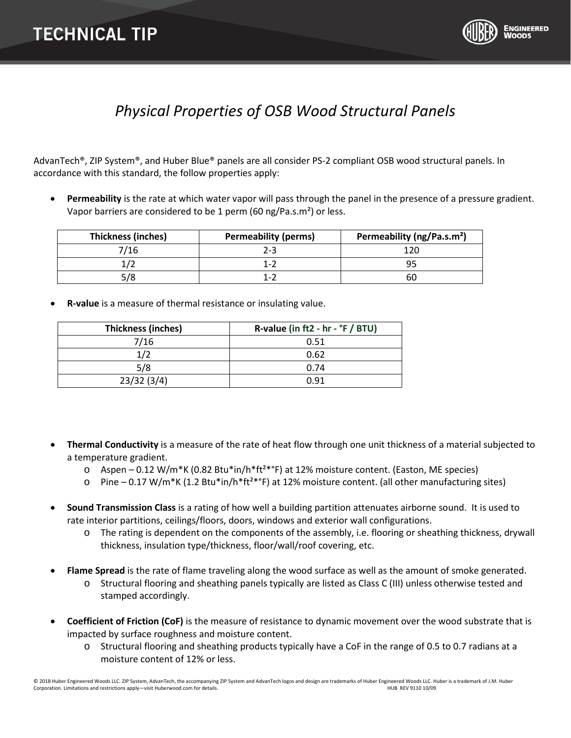

## *Physical Properties of OSB Wood Structural Panels*

AdvanTech®, ZIP System®, and Huber Blue® panels are all consider PS-2 compliant OSB wood structural panels. In accordance with this standard, the follow properties apply:

• **Permeability** is the rate at which water vapor will pass through the panel in the presence of a pressure gradient. Vapor barriers are considered to be 1 perm (60 ng/Pa.s.m<sup>2</sup>) or less.

| <b>Thickness (inches)</b> | <b>Permeability (perms)</b> | Permeability (ng/Pa.s.m <sup>2</sup> ) |
|---------------------------|-----------------------------|----------------------------------------|
| 7/16                      | 2-3                         |                                        |
|                           | 1-2                         |                                        |
| 5/8                       | 1-2                         | ьu                                     |

• **R-value** is a measure of thermal resistance or insulating value.

| <b>Thickness (inches)</b> | R-value (in ft2 - hr - °F / BTU) |
|---------------------------|----------------------------------|
| 7/16                      | 0.51                             |
| 1/2                       | 0.62                             |
| 5/8                       | 0.74                             |
| 23/32(3/4)                | በ 91                             |

- **Thermal Conductivity** is a measure of the rate of heat flow through one unit thickness of a material subjected to a temperature gradient.
	- $\circ$  Aspen 0.12 W/m\*K (0.82 Btu\*in/h\*ft<sup>2\*o</sup>F) at 12% moisture content. (Easton, ME species)
	- $\circ$  Pine 0.17 W/m\*K (1.2 Btu\*in/h\*ft<sup>2\*o</sup>F) at 12% moisture content. (all other manufacturing sites)
- **Sound Transmission Class** is a rating of how well a building partition attenuates airborn[e sound.](http://en.wikipedia.org/wiki/Sound) It is used to rate interior partitions, ceilings/floors, doors, windows and exterior wall configurations.
	- o The rating is dependent on the components of the assembly, i.e. flooring or sheathing thickness, drywall thickness, insulation type/thickness, floor/wall/roof covering, etc.
- **Flame Spread** is the rate of flame traveling along the wood surface as well as the amount of smoke generated. o Structural flooring and sheathing panels typically are listed as Class C (III) unless otherwise tested and stamped accordingly.
- **Coefficient of Friction (CoF)** is the measure of resistance to dynamic movement over the wood substrate that is impacted by surface roughness and moisture content.
	- o Structural flooring and sheathing products typically have a CoF in the range of 0.5 to 0.7 radians at a moisture content of 12% or less.

© 2018 Huber Engineered Woods LLC. ZIP System, AdvanTech, the accompanying ZIP System and AdvanTech logos and design are trademarks of Huber Engineered Woods LLC. Huber is a trademark of J.M. Huber Corporation. Limitations and restrictions apply—visit Huberwood.com for details. 
HUB REV 9110 10/09